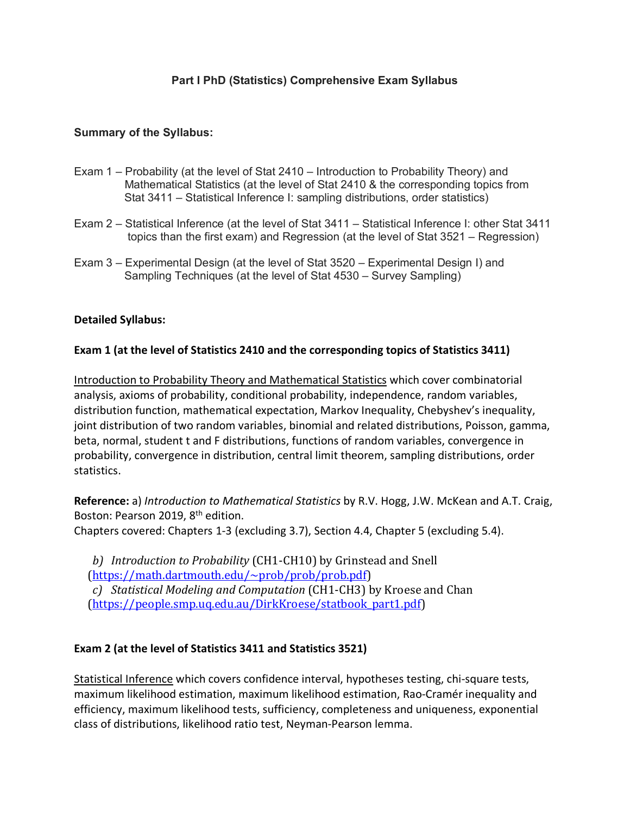# **Part I PhD (Statistics) Comprehensive Exam Syllabus**

## **Summary of the Syllabus:**

- Exam 1 Probability (at the level of Stat 2410 Introduction to Probability Theory) and Mathematical Statistics (at the level of Stat 2410 & the corresponding topics from Stat 3411 – Statistical Inference I: sampling distributions, order statistics)
- Exam 2 Statistical Inference (at the level of Stat 3411 Statistical Inference I: other Stat 3411 topics than the first exam) and Regression (at the level of Stat 3521 – Regression)
- Exam 3 Experimental Design (at the level of Stat 3520 Experimental Design I) and Sampling Techniques (at the level of Stat 4530 – Survey Sampling)

## **Detailed Syllabus:**

## **Exam 1 (at the level of Statistics 2410 and the corresponding topics of Statistics 3411)**

Introduction to Probability Theory and Mathematical Statistics which cover combinatorial analysis, axioms of probability, conditional probability, independence, random variables, distribution function, mathematical expectation, Markov Inequality, Chebyshev's inequality, joint distribution of two random variables, binomial and related distributions, Poisson, gamma, beta, normal, student t and F distributions, functions of random variables, convergence in probability, convergence in distribution, central limit theorem, sampling distributions, order statistics.

**Reference:** a) *Introduction to Mathematical Statistics* by R.V. Hogg, J.W. McKean and A.T. Craig, Boston: Pearson 2019, 8th edition.

Chapters covered: Chapters 1-3 (excluding 3.7), Section 4.4, Chapter 5 (excluding 5.4).

b) *Introduction to Probability* (CH1-CH10) by Grinstead and Snell (https://math.dartmouth.edu/~prob/prob/prob.pdf)

*c) Statistical Modeling and Computation* (CH1-CH3) by Kroese and Chan (https://people.smp.uq.edu.au/DirkKroese/statbook\_part1.pdf)

# **Exam 2 (at the level of Statistics 3411 and Statistics 3521)**

Statistical Inference which covers confidence interval, hypotheses testing, chi-square tests, maximum likelihood estimation, maximum likelihood estimation, Rao-Cramér inequality and efficiency, maximum likelihood tests, sufficiency, completeness and uniqueness, exponential class of distributions, likelihood ratio test, Neyman-Pearson lemma.